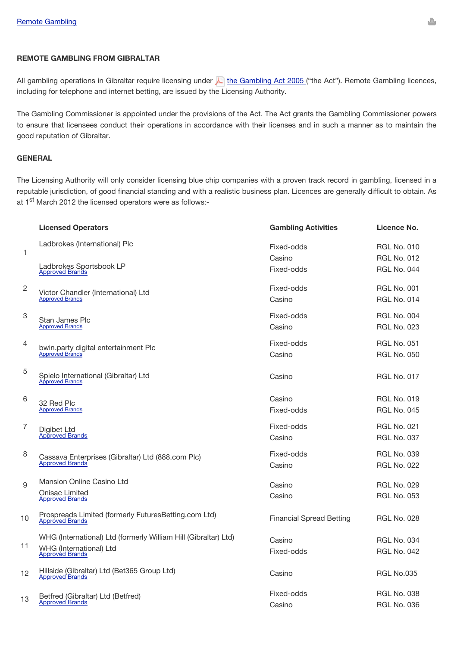### **REMOTE GAMBLING FROM GIBRALTAR**

All gambling operations in Gibraltar require licensing under **A** the Gambling Act 2005 ("the Act"). Remote Gambling licences, including for telephone and internet betting, are issued by the Licensing Authority.

The Gambling Commissioner is appointed under the provisions of the Act. The Act grants the Gambling Commissioner powers to ensure that licensees conduct their operations in accordance with their licenses and in such a manner as to maintain the good reputation of Gibraltar.

# **GENERAL**

The Licensing Authority will only consider licensing blue chip companies with a proven track record in gambling, licensed in a reputable jurisdiction, of good financial standing and with a realistic business plan. Licences are generally difficult to obtain. As at 1<sup>st</sup> March 2012 the licensed operators were as follows:-

|                | <b>Licensed Operators</b>                                                                                     | <b>Gambling Activities</b>      | Licence No.                              |
|----------------|---------------------------------------------------------------------------------------------------------------|---------------------------------|------------------------------------------|
| 1              | Ladbrokes (International) Plc                                                                                 | Fixed-odds<br>Casino            | <b>RGL No. 010</b><br><b>RGL No. 012</b> |
|                | Ladbrokes Sportsbook LP<br>Approved Brands                                                                    | Fixed-odds                      | <b>RGL No. 044</b>                       |
| $\overline{2}$ | Victor Chandler (International) Ltd<br><b>Approved Brands</b>                                                 | Fixed-odds<br>Casino            | <b>RGL No. 001</b><br><b>RGL No. 014</b> |
| 3              | Stan James Plc<br><b>Approved Brands</b>                                                                      | Fixed-odds<br>Casino            | <b>RGL No. 004</b><br><b>RGL No. 023</b> |
| 4              | bwin.party digital entertainment Plc<br><b>Approved Brands</b>                                                | Fixed-odds<br>Casino            | <b>RGL No. 051</b><br><b>RGL No. 050</b> |
| 5              | Spielo International (Gibraltar) Ltd<br><b>Approved Brands</b>                                                | Casino                          | <b>RGL No. 017</b>                       |
| 6              | 32 Red Plc<br><b>Approved Brands</b>                                                                          | Casino<br>Fixed-odds            | <b>RGL No. 019</b><br><b>RGL No. 045</b> |
| 7              | Digibet Ltd<br>Approved Brands                                                                                | Fixed-odds<br>Casino            | <b>RGL No. 021</b><br><b>RGL No. 037</b> |
| 8              | Cassava Enterprises (Gibraltar) Ltd (888.com Plc)<br>Approved Brands                                          | Fixed-odds<br>Casino            | <b>RGL No. 039</b><br><b>RGL No. 022</b> |
| 9              | Mansion Online Casino Ltd<br><b>Onisac Limited</b><br><b>Approved Brands</b>                                  | Casino<br>Casino                | <b>RGL No. 029</b><br><b>RGL No. 053</b> |
| 10             | Prospreads Limited (formerly FuturesBetting.com Ltd)<br>Approved Brands                                       | <b>Financial Spread Betting</b> | <b>RGL No. 028</b>                       |
| 11             | WHG (International) Ltd (formerly William Hill (Gibraltar) Ltd)<br>WHG (International) Ltd<br>Approved Brands | Casino<br>Fixed-odds            | <b>RGL No. 034</b><br><b>RGL No. 042</b> |
| 12             | Hillside (Gibraltar) Ltd (Bet365 Group Ltd)<br>Approved Brands                                                | Casino                          | <b>RGL No.035</b>                        |
| 13             | Betfred (Gibraltar) Ltd (Betfred)<br>Approved Brands                                                          | Fixed-odds<br>Casino            | <b>RGL No. 038</b><br><b>RGL No. 036</b> |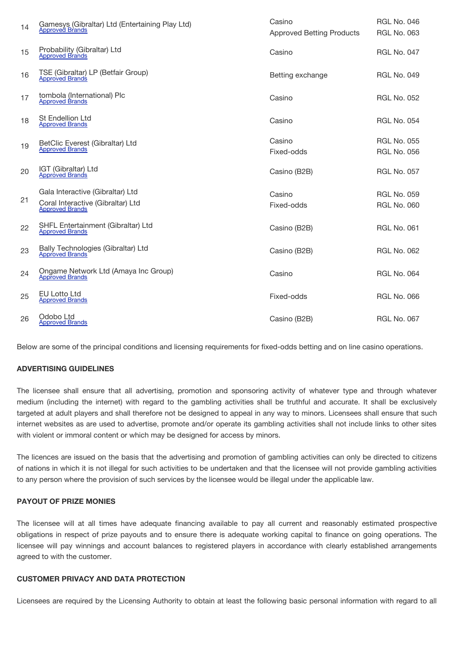| 14 | Gamesys (Gibraltar) Ltd (Entertaining Play Ltd)<br><b>Approved Brands</b>                | Casino<br><b>Approved Betting Products</b> | <b>RGL No. 046</b><br><b>RGL No. 063</b> |
|----|------------------------------------------------------------------------------------------|--------------------------------------------|------------------------------------------|
| 15 | Probability (Gibraltar) Ltd<br>Approved Brands                                           | Casino                                     | <b>RGL No. 047</b>                       |
| 16 | TSE (Gibraltar) LP (Betfair Group)<br>Approved Brands                                    | Betting exchange                           | <b>RGL No. 049</b>                       |
| 17 | tombola (International) Plc<br><b>Approved Brands</b>                                    | Casino                                     | <b>RGL No. 052</b>                       |
| 18 | St Endellion Ltd<br><b>Approved Brands</b>                                               | Casino                                     | <b>RGL No. 054</b>                       |
| 19 | BetClic Everest (Gibraltar) Ltd<br><b>Approved Brands</b>                                | Casino<br>Fixed-odds                       | <b>RGL No. 055</b><br><b>RGL No. 056</b> |
| 20 | IGT (Gibraltar) Ltd<br>Approved Brands                                                   | Casino (B2B)                               | <b>RGL No. 057</b>                       |
| 21 | Gala Interactive (Gibraltar) Ltd<br>Coral Interactive (Gibraltar) Ltd<br>Approved Brands | Casino<br>Fixed-odds                       | <b>RGL No. 059</b><br><b>RGL No. 060</b> |
| 22 | SHFL Entertainment (Gibraltar) Ltd<br>Approved Brands                                    | Casino (B2B)                               | <b>RGL No. 061</b>                       |
| 23 | Bally Technologies (Gibraltar) Ltd<br>Approved Brands                                    | Casino (B2B)                               | <b>RGL No. 062</b>                       |
| 24 | Ongame Network Ltd (Amaya Inc Group)<br>Approved Brands                                  | Casino                                     | <b>RGL No. 064</b>                       |
| 25 | EU Lotto Ltd<br><b>Approved Brands</b>                                                   | Fixed-odds                                 | <b>RGL No. 066</b>                       |
| 26 | Odobo Ltd<br><b>Approved Brands</b>                                                      | Casino (B2B)                               | <b>RGL No. 067</b>                       |

Below are some of the principal conditions and licensing requirements for fixed-odds betting and on line casino operations.

#### **ADVERTISING GUIDELINES**

The licensee shall ensure that all advertising, promotion and sponsoring activity of whatever type and through whatever medium (including the internet) with regard to the gambling activities shall be truthful and accurate. It shall be exclusively targeted at adult players and shall therefore not be designed to appeal in any way to minors. Licensees shall ensure that such internet websites as are used to advertise, promote and/or operate its gambling activities shall not include links to other sites with violent or immoral content or which may be designed for access by minors.

The licences are issued on the basis that the advertising and promotion of gambling activities can only be directed to citizens of nations in which it is not illegal for such activities to be undertaken and that the licensee will not provide gambling activities to any person where the provision of such services by the licensee would be illegal under the applicable law.

## **PAYOUT OF PRIZE MONIES**

The licensee will at all times have adequate financing available to pay all current and reasonably estimated prospective obligations in respect of prize payouts and to ensure there is adequate working capital to finance on going operations. The licensee will pay winnings and account balances to registered players in accordance with clearly established arrangements agreed to with the customer.

#### **CUSTOMER PRIVACY AND DATA PROTECTION**

Licensees are required by the Licensing Authority to obtain at least the following basic personal information with regard to all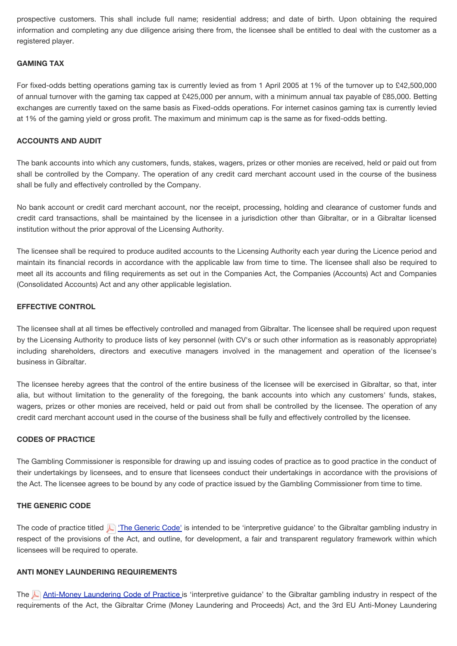prospective customers. This shall include full name; residential address; and date of birth. Upon obtaining the required information and completing any due diligence arising there from, the licensee shall be entitled to deal with the customer as a registered player.

## **GAMING TAX**

For fixed-odds betting operations gaming tax is currently levied as from 1 April 2005 at 1% of the turnover up to £42,500,000 of annual turnover with the gaming tax capped at £425,000 per annum, with a minimum annual tax payable of £85,000. Betting exchanges are currently taxed on the same basis as Fixed-odds operations. For internet casinos gaming tax is currently levied at 1% of the gaming yield or gross profit. The maximum and minimum cap is the same as for fixed-odds betting.

### **ACCOUNTS AND AUDIT**

The bank accounts into which any customers, funds, stakes, wagers, prizes or other monies are received, held or paid out from shall be controlled by the Company. The operation of any credit card merchant account used in the course of the business shall be fully and effectively controlled by the Company.

No bank account or credit card merchant account, nor the receipt, processing, holding and clearance of customer funds and credit card transactions, shall be maintained by the licensee in a jurisdiction other than Gibraltar, or in a Gibraltar licensed institution without the prior approval of the Licensing Authority.

The licensee shall be required to produce audited accounts to the Licensing Authority each year during the Licence period and maintain its financial records in accordance with the applicable law from time to time. The licensee shall also be required to meet all its accounts and filing requirements as set out in the Companies Act, the Companies (Accounts) Act and Companies (Consolidated Accounts) Act and any other applicable legislation.

## **EFFECTIVE CONTROL**

The licensee shall at all times be effectively controlled and managed from Gibraltar. The licensee shall be required upon request by the Licensing Authority to produce lists of key personnel (with CV's or such other information as is reasonably appropriate) including shareholders, directors and executive managers involved in the management and operation of the licensee's business in Gibraltar.

The licensee hereby agrees that the control of the entire business of the licensee will be exercised in Gibraltar, so that, inter alia, but without limitation to the generality of the foregoing, the bank accounts into which any customers' funds, stakes, wagers, prizes or other monies are received, held or paid out from shall be controlled by the licensee. The operation of any credit card merchant account used in the course of the business shall be fully and effectively controlled by the licensee.

#### **CODES OF PRACTICE**

The Gambling Commissioner is responsible for drawing up and issuing codes of practice as to good practice in the conduct of their undertakings by licensees, and to ensure that licensees conduct their undertakings in accordance with the provisions of the Act. The licensee agrees to be bound by any code of practice issued by the Gambling Commissioner from time to time.

#### **THE GENERIC CODE**

The code of practice titled **A** 'The Generic Code' is intended to be 'interpretive guidance' to the Gibraltar gambling industry in respect of the provisions of the Act, and outline, for development, a fair and transparent regulatory framework within which licensees will be required to operate.

#### **ANTI MONEY LAUNDERING REQUIREMENTS**

The **Anti-Money Laundering Code of Practice is 'interpretive guidance' to the Gibraltar gambling industry in respect of the** requirements of the Act, the Gibraltar Crime (Money Laundering and Proceeds) Act, and the 3rd EU Anti-Money Laundering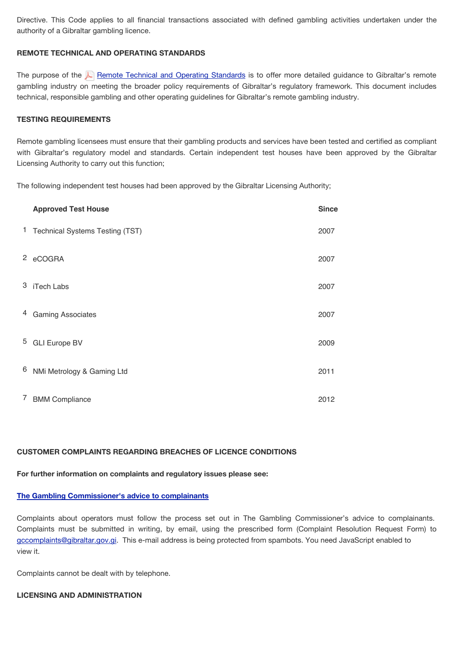Directive. This Code applies to all financial transactions associated with defined gambling activities undertaken under the authority of a Gibraltar gambling licence.

## **REMOTE TECHNICAL AND OPERATING STANDARDS**

The purpose of the **Remote Technical and Operating Standards** is to offer more detailed guidance to Gibraltar's remote gambling industry on meeting the broader policy requirements of Gibraltar's regulatory framework. This document includes technical, responsible gambling and other operating guidelines for Gibraltar's remote gambling industry.

### **TESTING REQUIREMENTS**

Remote gambling licensees must ensure that their gambling products and services have been tested and certified as compliant with Gibraltar's regulatory model and standards. Certain independent test houses have been approved by the Gibraltar Licensing Authority to carry out this function;

The following independent test houses had been approved by the Gibraltar Licensing Authority;

|    | <b>Approved Test House</b>             | <b>Since</b> |
|----|----------------------------------------|--------------|
| 1. | <b>Technical Systems Testing (TST)</b> | 2007         |
|    | 2 eCOGRA                               | 2007         |
|    | 3 iTech Labs                           | 2007         |
| 4  | <b>Gaming Associates</b>               | 2007         |
| 5  | <b>GLI Europe BV</b>                   | 2009         |
| 6  | NMi Metrology & Gaming Ltd             | 2011         |
| 7  | <b>BMM Compliance</b>                  | 2012         |

#### **CUSTOMER COMPLAINTS REGARDING BREACHES OF LICENCE CONDITIONS**

## **For further information on complaints and regulatory issues please see:**

#### **The Gambling Commissioner's advice to complainants**

Complaints about operators must follow the process set out in The Gambling Commissioner's advice to complainants. Complaints must be submitted in writing, by email, using the prescribed form (Complaint Resolution Request Form) to gccomplaints@gibraltar.gov.gi. This e-mail address is being protected from spambots. You need JavaScript enabled to view it.

Complaints cannot be dealt with by telephone.

## **LICENSING AND ADMINISTRATION**